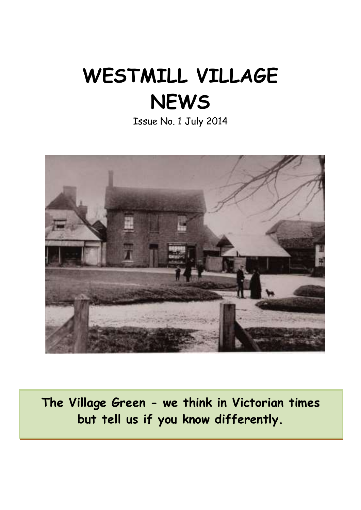# **WESTMILL VILLAGE NEWS**

Issue No. 1 July 2014



**The Village Green - we think in Victorian times but tell us if you know differently.**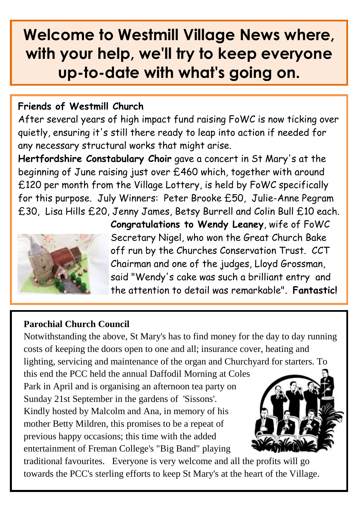## **Welcome to Westmill Village News where, with your help, we'll try to keep everyone up-to-date with what's going on.**

#### **Friends of Westmill Church**

After several years of high impact fund raising FoWC is now ticking over quietly, ensuring it's still there ready to leap into action if needed for any necessary structural works that might arise.

**Hertfordshire Constabulary Choir** gave a concert in St Mary's at the beginning of June raising just over £460 which, together with around £120 per month from the Village Lottery, is held by FoWC specifically for this purpose. July Winners: Peter Brooke £50, Julie-Anne Pegram £30, Lisa Hills £20, Jenny James, Betsy Burrell and Colin Bull £10 each.



**Congratulations to Wendy Leaney**, wife of FoWC Secretary Nigel, who won the Great Church Bake off run by the Churches Conservation Trust. CCT Chairman and one of the judges, Lloyd Grossman, said "Wendy's cake was such a brilliant entry and the attention to detail was remarkable". **Fantastic!**

#### **Parochial Church Council**

Notwithstanding the above, St Mary's has to find money for the day to day running costs of keeping the doors open to one and all; insurance cover, heating and lighting, servicing and maintenance of the organ and Churchyard for starters. To this end the PCC held the annual Daffodil Morning at Coles Park in April and is organising an afternoon tea party on Sunday 21st September in the gardens of 'Sissons'. Kindly hosted by Malcolm and Ana, in memory of his mother Betty Mildren, this promises to be a repeat of previous happy occasions; this time with the added entertainment of Freman College's "Big Band" playing

traditional favourites. Everyone is very welcome and all the profits will go towards the PCC's sterling efforts to keep St Mary's at the heart of the Village.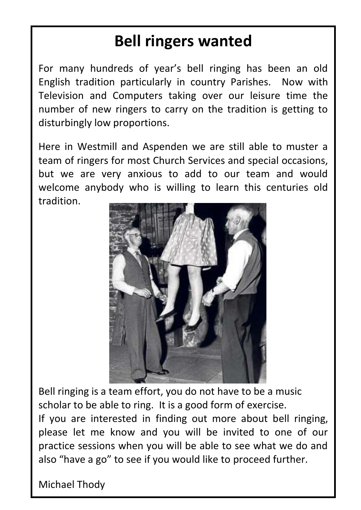# **Bell ringers wanted**

For many hundreds of year's bell ringing has been an old English tradition particularly in country Parishes. Now with Television and Computers taking over our leisure time the number of new ringers to carry on the tradition is getting to disturbingly low proportions.

Here in Westmill and Aspenden we are still able to muster a team of ringers for most Church Services and special occasions, but we are very anxious to add to our team and would welcome anybody who is willing to learn this centuries old tradition.



Bell ringing is a team effort, you do not have to be a music scholar to be able to ring. It is a good form of exercise. If you are interested in finding out more about bell ringing, please let me know and you will be invited to one of our practice sessions when you will be able to see what we do and also "have a go" to see if you would like to proceed further.

Michael Thody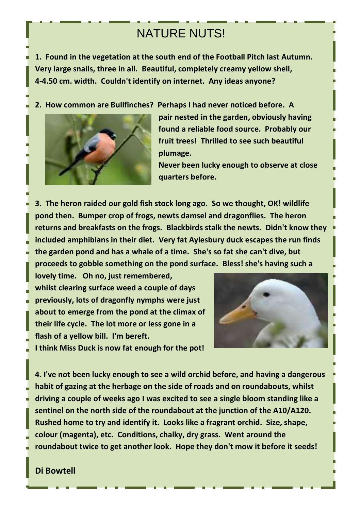### NATURE NUTS!

**1. Found in the vegetation at the south end of the Football Pitch last Autumn. Very large snails, three in all. Beautiful, completely creamy yellow shell, 4-4.50 cm. width. Couldn't identify on internet. Any ideas anyone?**

**2. How common are Bullfinches? Perhaps I had never noticed before. A** 



**pair nested in the garden, obviously having found a reliable food source. Probably our fruit trees! Thrilled to see such beautiful plumage.**

**Never been lucky enough to observe at close quarters before.** 

**3. The heron raided our gold fish stock long ago. So we thought, OK! wildlife pond then. Bumper crop of frogs, newts damsel and dragonflies. The heron returns and breakfasts on the frogs. Blackbirds stalk the newts. Didn't know they included amphibians in their diet. Very fat Aylesbury duck escapes the run finds the garden pond and has a whale of a time. She's so fat she can't dive, but proceeds to gobble something on the pond surface. Bless! she's having such a** 

**lovely time. Oh no, just remembered, whilst clearing surface weed a couple of days previously, lots of dragonfly nymphs were just about to emerge from the pond at the climax of their life cycle. The lot more or less gone in a flash of a yellow bill. I'm bereft.**



**I think Miss Duck is now fat enough for the pot!**

**4. I've not been lucky enough to see a wild orchid before, and having a dangerous habit of gazing at the herbage on the side of roads and on roundabouts, whilst driving a couple of weeks ago I was excited to see a single bloom standing like a sentinel on the north side of the roundabout at the junction of the A10/A120. Rushed home to try and identify it. Looks like a fragrant orchid. Size, shape, colour (magenta), etc. Conditions, chalky, dry grass. Went around the roundabout twice to get another look. Hope they don't mow it before it seeds!**

#### **Di Bowtell**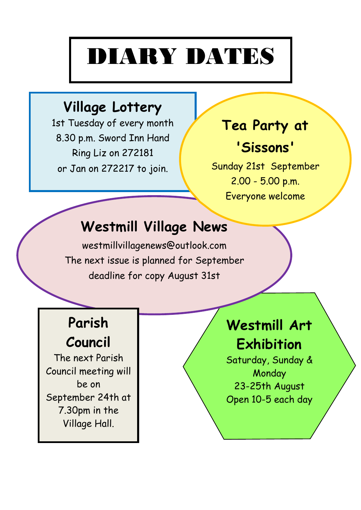# DIARY DATES

### **Village Lottery**

1st Tuesday of every month 8.30 p.m. Sword Inn Hand Ring Liz on 272181 or Jan on 272217 to join.

# **Tea Party at**

### **'Sissons'**

Sunday 21st September 2.00 - 5.00 p.m. Everyone welcome

### **Westmill Village News**

westmillvillagenews@outlook.com The next issue is planned for September deadline for copy August 31st

## **Parish**

**Council**

The next Parish Council meeting will be on September 24th at 7.30pm in the Village Hall.

### **Westmill Art Exhibition**

Saturday, Sunday & **Monday** 23-25th August Open 10-5 each day